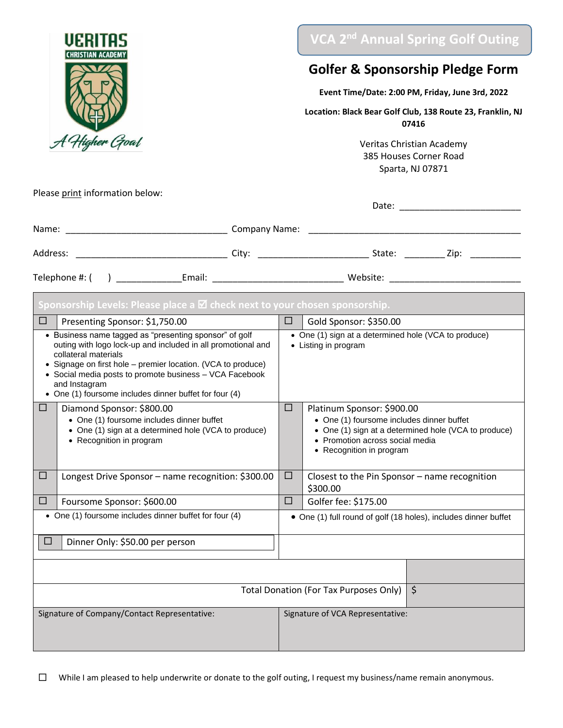

 $\Box$  While I am pleased to help underwrite or donate to the golf outing, I request my business/name remain anonymous.